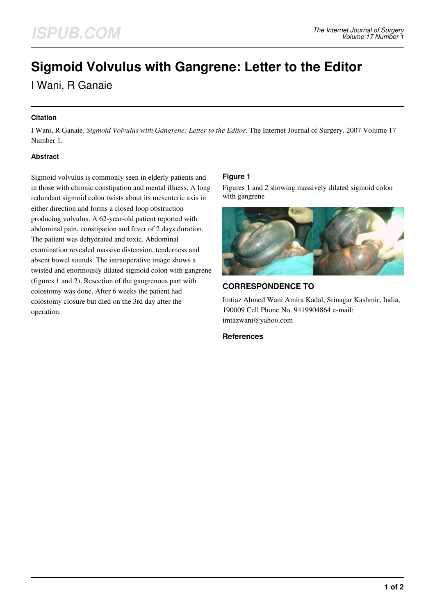# **Sigmoid Volvulus with Gangrene: Letter to the Editor**

I Wani, R Ganaie

#### **Citation**

I Wani, R Ganaie. *Sigmoid Volvulus with Gangrene: Letter to the Editor*. The Internet Journal of Surgery. 2007 Volume 17 Number 1.

#### **Abstract**

Sigmoid volvulus is commonly seen in elderly patients and in those with chronic constipation and mental illness. A long redundant sigmoid colon twists about its mesenteric axis in either direction and forms a closed loop obstruction producing volvulus. A 62-year-old patient reported with abdominal pain, constipation and fever of 2 days duration. The patient was dehydrated and toxic. Abdominal examination revealed massive distension, tenderness and absent bowel sounds. The intraoperative image shows a twisted and enormously dilated sigmoid colon with gangrene (figures 1 and 2). Resection of the gangrenous part with colostomy was done. After 6 weeks the patient had colostomy closure but died on the 3rd day after the operation.

#### **Figure 1**

Figures 1 and 2 showing massively dilated sigmoid colon with gangrene



### **CORRESPONDENCE TO**

Imtiaz Ahmed Wani Amira Kadal, Srinagar Kashmir, India, 190009 Cell Phone No. 9419904864 e-mail: imtazwani@yahoo.com

#### **References**